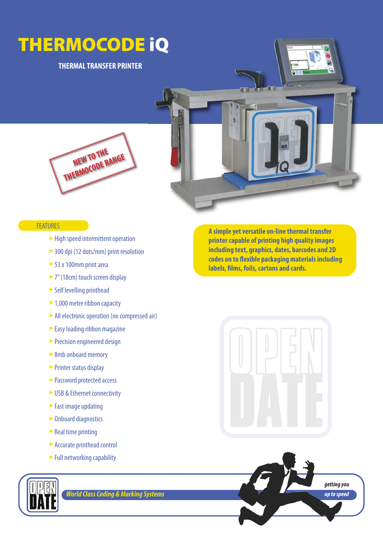## **THERMOCODE iQ**

### **THERMAL TRANSFER PRINTER**





#### **FEATURES**

- ► High speed intermittent operation
- ▶ 300 dpi (12 dots/mm) print resolution
- ► 53 x 100mm print area
- ► 7" (18cm) touch screen display
- Self levelling printhead
- 1,000 metre ribbon capacity
- All electronic operation (no compressed air) ‣
- ► Easy loading ribbon magazine
- ▶ Precision engineered design
- ► 8mb onboard memory
- ► Printer status display
- ► Password protected access
- ► USB & Ethernet connectivity
- ► Fast image updating
- ► Onboard diagnostics
- ► Real time printing
- Accurate printhead control ‣
- ► Full networking capability



*World Class Coding & Marking Systems*

**A simple yet versatile on-line thermal transfer printer capable of printing high quality images including text, graphics, dates, barcodes and 2D codes on to flexible packaging materials including labels, films, foils, cartons and cards.**